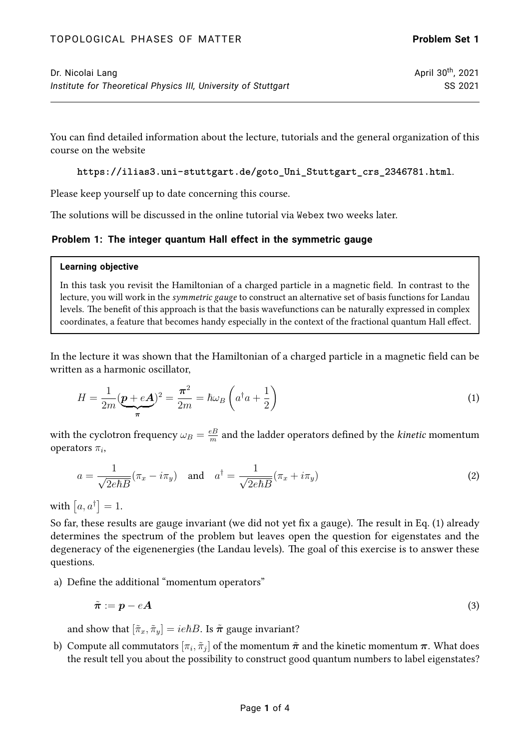You can find detailed information about the lecture, tutorials and the general organization of this course on the website

**[https://ilias3.uni-stuttgart.de/goto\\_Uni\\_Stuttgart\\_crs\\_2346781.html](https://ilias3.uni-stuttgart.de/goto_Uni_Stuttgart_crs_2346781.html)**.

Please keep yourself up to date concerning this course.

The solutions will be discussed in the online tutorial via Webex two weeks later.

# **Problem 1: The integer quantum Hall effect in the symmetric gauge**

### **Learning objective**

In this task you revisit the Hamiltonian of a charged particle in a magnetic field. In contrast to the lecture, you will work in the symmetric gauge to construct an alternative set of basis functions for Landau levels. The benefit of this approach is that the basis wavefunctions can be naturally expressed in complex coordinates, a feature that becomes handy especially in the context of the fractional quantum Hall effect.

In the lecture it was shown that the Hamiltonian of a charged particle in a magnetic field can be written as a harmonic oscillator,

<span id="page-0-0"></span>
$$
H = \frac{1}{2m} \left( \underbrace{\boldsymbol{p} + e \boldsymbol{A}}_{\boldsymbol{\pi}} \right)^2 = \frac{\boldsymbol{\pi}^2}{2m} = \hbar \omega_B \left( a^\dagger a + \frac{1}{2} \right) \tag{1}
$$

with the cyclotron frequency  $\omega_B = \frac{eB}{m}$  $\frac{eB}{m}$  and the ladder operators defined by the *kinetic* momentum operators  $\pi_i$ ,

$$
a = \frac{1}{\sqrt{2e\hbar B}}(\pi_x - i\pi_y) \quad \text{and} \quad a^\dagger = \frac{1}{\sqrt{2e\hbar B}}(\pi_x + i\pi_y)
$$
 (2)

with  $[a, a^{\dagger}] = 1$ .

So far, these results are gauge invariant (we did not yet fix a gauge). The result in Eq.([1\)](#page-0-0) already determines the spectrum of the problem but leaves open the question for eigenstates and the degeneracy of the eigenenergies (the Landau levels). The goal of this exercise is to answer these questions.

a) Define the additional "momentum operators"

$$
\tilde{\boldsymbol{\pi}} := \boldsymbol{p} - e\boldsymbol{A} \tag{3}
$$

and show that  $[\tilde{\pi}_x, \tilde{\pi}_y] = ie\hbar B$ . Is  $\tilde{\pi}$  gauge invariant?

b) Compute all commutators  $[\pi_i,\tilde{\pi}_j]$  of the momentum  $\tilde{\bm{\pi}}$  and the kinetic momentum  $\bm{\pi}.$  What does the result tell you about the possibility to construct good quantum numbers to label eigenstates?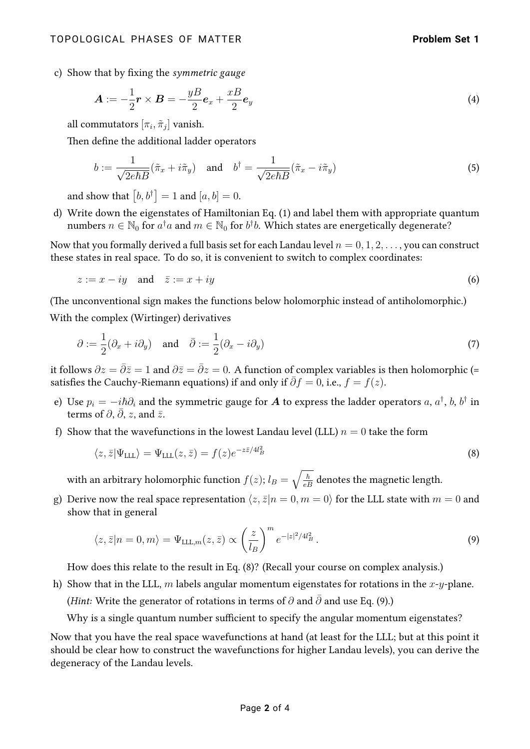c) Show that by fixing the symmetric gauge

$$
\mathbf{A} := -\frac{1}{2}\mathbf{r} \times \mathbf{B} = -\frac{yB}{2}\mathbf{e}_x + \frac{xB}{2}\mathbf{e}_y \tag{4}
$$

all commutators  $[\pi_i,\tilde{\pi}_j]$  vanish.

Then define the additional ladder operators

$$
b := \frac{1}{\sqrt{2e\hbar B}} (\tilde{\pi}_x + i\tilde{\pi}_y) \quad \text{and} \quad b^\dagger = \frac{1}{\sqrt{2e\hbar B}} (\tilde{\pi}_x - i\tilde{\pi}_y)
$$
 (5)

and show that  $\bigl[ b , b^\dagger \bigr] = 1$  and  $[a, b] = 0.$ 

d) Write down the eigenstates of Hamiltonian Eq. [\(1\)](#page-0-0) and label them with appropriate quantum numbers  $n\in\mathbb{N}_0$  for  $a^\dagger a$  and  $m\in\mathbb{N}_0$  for  $b^\dagger b.$  Which states are energetically degenerate?

Now that you formally derived a full basis set for each Landau level  $n = 0, 1, 2, \ldots$ , you can construct these states in real space. To do so, it is convenient to switch to complex coordinates:

$$
z := x - iy \quad \text{and} \quad \bar{z} := x + iy \tag{6}
$$

(The unconventional sign makes the functions below holomorphic instead of antiholomorphic.)

With the complex (Wirtinger) derivatives

$$
\partial := \frac{1}{2} (\partial_x + i \partial_y) \quad \text{and} \quad \bar{\partial} := \frac{1}{2} (\partial_x - i \partial_y) \tag{7}
$$

it follows  $\partial z = \bar{\partial}\bar{z} = 1$  and  $\partial \bar{z} = \bar{\partial}z = 0$ . A function of complex variables is then holomorphic (= satisfies the Cauchy-Riemann equations) if and only if  $\bar{\partial}f = 0$ , i.e.,  $f = f(z)$ .

- e) Use  $p_i = -i\hbar\partial_i$  and the symmetric gauge for  $\bm A$  to express the ladder operators  $a,$   $a^\dagger,$   $b,$   $b^\dagger$  in terms of  $\partial$ ,  $\bar{\partial}$ , z, and  $\bar{z}$ .
- f) Show that the wavefunctions in the lowest Landau level (LLL)  $n = 0$  take the form

<span id="page-1-0"></span>
$$
\langle z, \bar{z} | \Psi_{\text{LLL}} \rangle = \Psi_{\text{LLL}}(z, \bar{z}) = f(z) e^{-z\bar{z}/4l_B^2}
$$
\n(8)

with an arbitrary holomorphic function  $f(z); l_B = \sqrt{\frac{\hbar}{eB}}$  denotes the magnetic length.

g) Derive now the real space representation  $\langle z, \bar{z}|n = 0, m = 0 \rangle$  for the LLL state with  $m = 0$  and show that in general

<span id="page-1-1"></span>
$$
\langle z, \bar{z} | n = 0, m \rangle = \Psi_{\text{LLL},m}(z, \bar{z}) \propto \left(\frac{z}{l_B}\right)^m e^{-|z|^2/4l_B^2}.
$$
\n(9)

How does this relate to the result in Eq. [\(8\)](#page-1-0)? (Recall your course on complex analysis.)

h) Show that in the LLL, m labels angular momentum eigenstates for rotations in the  $x$ -y-plane.

(Hint: Write the generator of rotations in terms of  $\partial$  and  $\bar{\partial}$  and use Eq. [\(9\)](#page-1-1).)

Why is a single quantum number sufficient to specify the angular momentum eigenstates?

Now that you have the real space wavefunctions at hand (at least for the LLL; but at this point it should be clear how to construct the wavefunctions for higher Landau levels), you can derive the degeneracy of the Landau levels.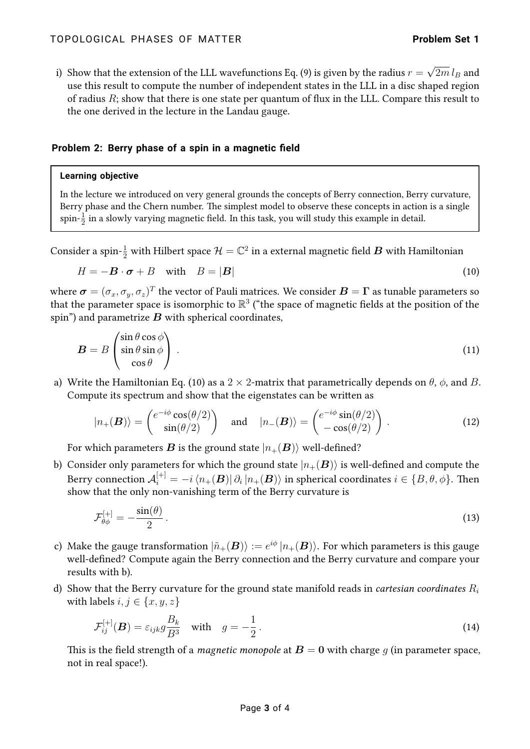i) Show that the extension of the LLL wavefunctions Eq. [\(9\)](#page-1-1) is given by the radius  $r =$ √  $2m\,l_B$  and use this result to compute the number of independent states in the LLL in a disc shaped region of radius  $R$ ; show that there is one state per quantum of flux in the LLL. Compare this result to the one derived in the lecture in the Landau gauge.

## **Problem 2: Berry phase of a spin in a magnetic field**

### **Learning objective**

In the lecture we introduced on very general grounds the concepts of Berry connection, Berry curvature, Berry phase and the Chern number. The simplest model to observe these concepts in action is a single  $\mathrm{spin}\text{-}\frac{1}{2}$  in a slowly varying magnetic field. In this task, you will study this example in detail.

Consider a spin- $\frac{1}{2}$  with Hilbert space  $\mathcal{H}=\mathbb{C}^2$  in a external magnetic field  $\bm{B}$  with Hamiltonian

<span id="page-2-0"></span>
$$
H = -\mathbf{B} \cdot \boldsymbol{\sigma} + B \quad \text{with} \quad B = |\mathbf{B}| \tag{10}
$$

where  $\bm{\sigma}=(\sigma_x,\sigma_y,\sigma_z)^T$  the vector of Pauli matrices. We consider  $\bm{B}=\bm{\Gamma}$  as tunable parameters so that the parameter space is isomorphic to  $\mathbb{R}^3$  ("the space of magnetic fields at the position of the spin") and parametrize  $B$  with spherical coordinates,

$$
B = B \begin{pmatrix} \sin \theta \cos \phi \\ \sin \theta \sin \phi \\ \cos \theta \end{pmatrix} . \tag{11}
$$

a) Write the Hamiltonian Eq. [\(10\)](#page-2-0) as a 2  $\times$  2-matrix that parametrically depends on  $\theta$ ,  $\phi$ , and B. Compute its spectrum and show that the eigenstates can be written as

$$
|n_{+}(\boldsymbol{B})\rangle = \begin{pmatrix} e^{-i\phi}\cos(\theta/2) \\ \sin(\theta/2) \end{pmatrix} \text{ and } |n_{-}(\boldsymbol{B})\rangle = \begin{pmatrix} e^{-i\phi}\sin(\theta/2) \\ -\cos(\theta/2) \end{pmatrix}.
$$
 (12)

For which parameters **B** is the ground state  $|n_{+}(B)\rangle$  well-defined?

b) Consider only parameters for which the ground state  $|n_{+}(B)\rangle$  is well-defined and compute the Berry connection  ${\cal A}_i^{[+]}=-i\bra{n_+({\bm B})}\partial_i\ket{n_+({\bm B})}$  in spherical coordinates  $i\in\{B,\theta,\phi\}.$  Then show that the only non-vanishing term of the Berry curvature is

$$
\mathcal{F}_{\theta\phi}^{[+]} = -\frac{\sin(\theta)}{2} \,. \tag{13}
$$

- c) Make the gauge transformation  $\ket{\tilde{n}_+(\bm{B})} := e^{i\phi}\ket{n_+(\bm{B})}$ . For which parameters is this gauge well-defined? Compute again the Berry connection and the Berry curvature and compare your results with b).
- d) Show that the Berry curvature for the ground state manifold reads in *cartesian coordinates*  $R_i$ with labels  $i, j \in \{x, y, z\}$

<span id="page-2-1"></span>
$$
\mathcal{F}_{ij}^{[+]}(B) = \varepsilon_{ijk} g \frac{B_k}{B^3} \quad \text{with} \quad g = -\frac{1}{2} \,. \tag{14}
$$

This is the field strength of a *magnetic monopole* at  $B = 0$  with charge g (in parameter space, not in real space!).